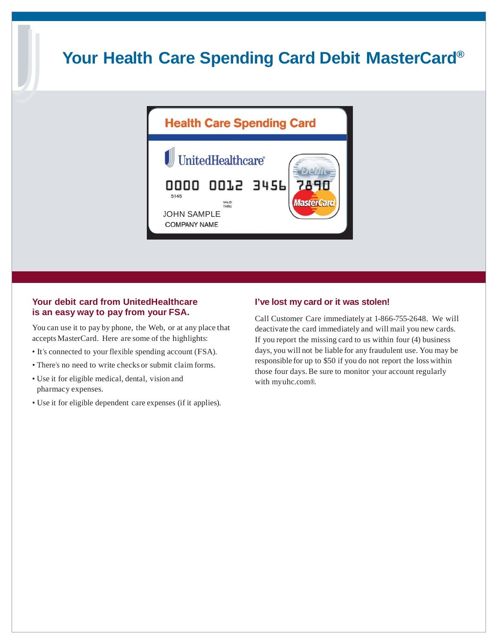# **Your Health Care Spending Card Debit MasterCard®**



#### **Your debit card from UnitedHealthcare is an easy way to pay from your FSA.**

You can use it to pay by phone, the Web, or at any place that accepts MasterCard. Here are some of the highlights:

- It's connected to your flexible spending account (FSA).
- There's no need to write checks or submit claim forms.
- Use it for eligible medical, dental, vision and pharmacy expenses.
- Use it for eligible dependent care expenses (if it applies).

#### **I've lost my card or it was stolen!**

Call Customer Care immediately at 1-866-755-2648. We will deactivate the card immediately and will mail you new cards. If you report the missing card to us within four (4) business days, you will not be liable for any fraudulent use. You may be responsible for up to \$50 if you do not report the loss within those four days.Be sure to monitor your account regularly with myuhc.com®.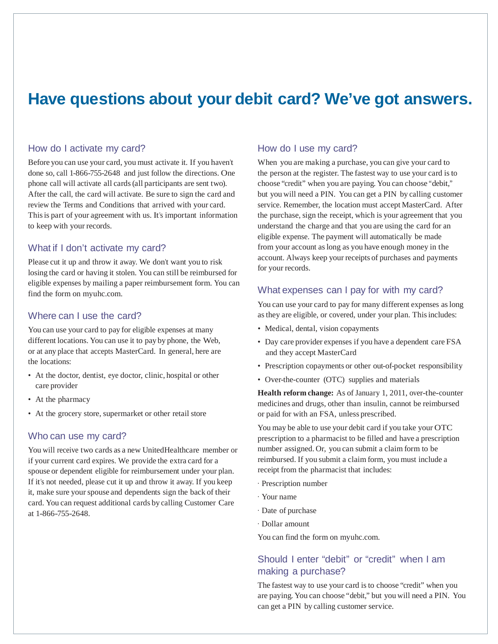# **Have questions about your debit card? We've got answers.**

#### How do I activate my card?

Before you can use your card, you must activate it. If you haven't done so, call 1-866-755-2648 and just follow the directions. One phone call will activate all cards(all participants are sent two). After the call, the card will activate. Be sure to sign the card and review the Terms and Conditions that arrived with your card. Thisis part of your agreement with us. It's important information to keep with your records.

#### What if I don't activate my card?

Please cut it up and throw it away. We don't want you to risk losing the card or having it stolen. You can still be reimbursed for eligible expenses by mailing a paper reimbursement form. You can find the form on myuhc.com.

#### Where can I use the card?

You can use your card to pay for eligible expenses at many different locations. You can use it to pay by phone, the Web, or at any place that accepts MasterCard. In general, here are the locations:

- At the doctor, dentist, eye doctor, clinic, hospital or other care provider
- At the pharmacy
- At the grocery store, supermarket or other retail store

#### Who can use my card?

You will receive two cards as a new UnitedHealthcare member or if your current card expires. We provide the extra card for a spouse or dependent eligible for reimbursement under your plan. If it's not needed, please cut it up and throw it away. If you keep it, make sure your spouse and dependents sign the back of their card. You can request additional cards by calling Customer Care at 1-866-755-2648.

#### How do I use my card?

When you are making a purchase, you can give your card to the person at the register. The fastest way to use your card isto choose "credit" when you are paying. You can choose "debit," but you will need a PIN. You can get a PIN by calling customer service. Remember, the location must accept MasterCard. After the purchase, sign the receipt, which is your agreement that you understand the charge and that you are using the card for an eligible expense. The payment will automatically be made from your account aslong as you have enough money in the account. Always keep your receipts of purchases and payments for your records.

#### What expenses can I pay for with my card?

You can use your card to pay for many different expenses aslong as they are eligible, or covered, under your plan. This includes:

- Medical, dental, vision copayments
- Day care provider expenses if you have a dependent care FSA and they accept MasterCard
- Prescription copayments or other out-of-pocket responsibility
- Over-the-counter (OTC) supplies and materials

**Health reform change:** As of January 1, 2011, over-the-counter medicines and drugs, other than insulin, cannot be reimbursed or paid for with an FSA, unless prescribed.

You may be able to use your debit card if you take your OTC prescription to a pharmacist to be filled and have a prescription number assigned. Or, you can submit a claim form to be reimbursed. If you submit a claim form, you must include a receipt from the pharmacist that includes:

- · Prescription number
- · Your name
- · Date of purchase
- · Dollar amount

You can find the form on myuhc.com.

### Should I enter "debit" or "credit" when I am making a purchase?

The fastest way to use your card is to choose "credit" when you are paying. You can choose "debit," but you will need a PIN. You can get a PIN by calling customer service.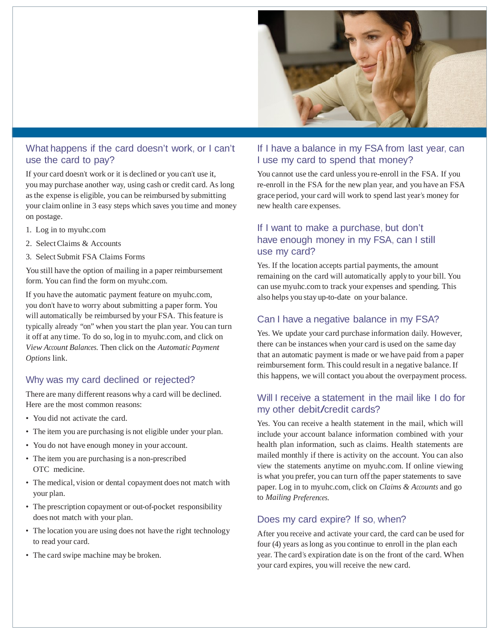

### What happens if the card doesn't work, or I can't use the card to pay?

If your card doesn't work or it is declined or you can't use it, you may purchase another way, using cash or credit card. As long asthe expense is eligible, you can be reimbursed by submitting your claim online in 3 easy steps which saves you time and money on postage.

- 1. Log in to myuhc.com
- 2. SelectClaims & Accounts
- 3. Select Submit FSA Claims Forms

You still have the option of mailing in a paper reimbursement form. You can find the form on myuhc.com.

If you have the automatic payment feature on myuhc.com, you don't have to worry about submitting a paper form. You will automatically be reimbursed by your FSA. This feature is typically already "on" when you start the plan year. You can turn it off at any time. To do so, log in to myuhc.com, and click on *View Account Balances*. Then click on the *Automatic Payment Options* link.

### Why was my card declined or rejected?

There are many different reasons why a card will be declined. Here are the most common reasons:

- You did not activate the card.
- The item you are purchasing is not eligible under your plan.
- You do not have enough money in your account.
- The item you are purchasing is a non-prescribed OTC medicine.
- The medical, vision or dental copayment does not match with your plan.
- The prescription copayment or out-of-pocket responsibility does not match with your plan.
- The location you are using does not have the right technology to read your card.
- The card swipe machine may be broken.

## If I have a balance in my FSA from last year, can I use my card to spend that money?

You cannot use the card unless you re-enroll in the FSA. If you re-enroll in the FSA for the new plan year, and you have an FSA grace period, your card will work to spend last year's money for new health care expenses.

# If I want to make a purchase, but don't have enough money in my FSA, can I still use my card?

Yes. If the location accepts partial payments, the amount remaining on the card will automatically apply to your bill. You can use myuhc.com to track your expenses and spending. This also helps you stay up-to-date on your balance.

## Can I have a negative balance in my FSA?

Yes. We update your card purchase information daily. However, there can be instances when your card is used on the same day that an automatic payment is made or we have paid from a paper reimbursement form. This could result in a negative balance.If this happens, we will contact you about the overpayment process.

### Will I receive a statement in the mail like I do for my other debit/credit cards?

Yes. You can receive a health statement in the mail, which will include your account balance information combined with your health plan information, such as claims. Health statements are mailed monthly if there is activity on the account. You can also view the statements anytime on myuhc.com. If online viewing is what you prefer, you can turn offthe paper statements to save paper. Log in to myuhc.com, click on *Claims & Accounts* and go to *Mailing Preferences*.

# Does my card expire? If so, when?

After you receive and activate your card, the card can be used for four (4) years aslong as you continue to enroll in the plan each year. The card's expiration date is on the front of the card. When your card expires, you will receive the new card.